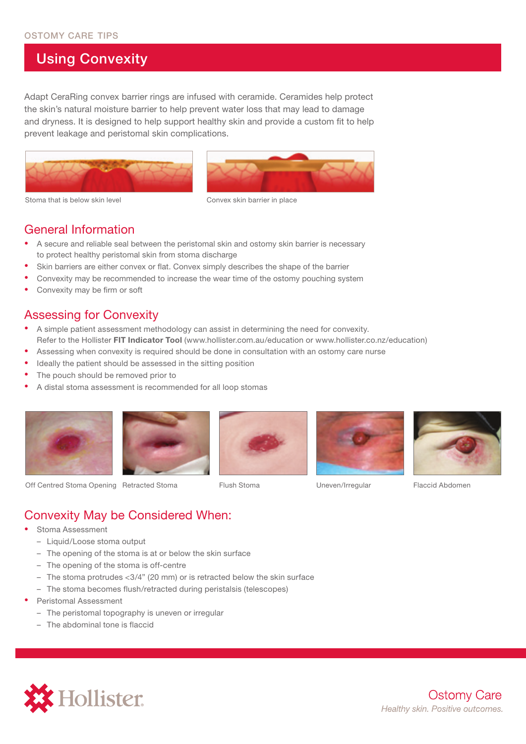## Using Convexity

Adapt CeraRing convex barrier rings are infused with ceramide. Ceramides help protect the skin's natural moisture barrier to help prevent water loss that may lead to damage and dryness. It is designed to help support healthy skin and provide a custom fit to help prevent leakage and peristomal skin complications.





Stoma that is below skin level example on the Convex skin barrier in place

#### General Information

- A secure and reliable seal between the peristomal skin and ostomy skin barrier is necessary to protect healthy peristomal skin from stoma discharge
- Skin barriers are either convex or flat. Convex simply describes the shape of the barrier
- Convexity may be recommended to increase the wear time of the ostomy pouching system
- Convexity may be firm or soft

#### Assessing for Convexity

- A simple patient assessment methodology can assist in determining the need for convexity. Refer to the Hollister **FIT Indicator Tool** (www.hollister.com.au/education or www.hollister.co.nz/education)
- Assessing when convexity is required should be done in consultation with an ostomy care nurse
- Ideally the patient should be assessed in the sitting position
- The pouch should be removed prior to
- A distal stoma assessment is recommended for all loop stomas











Off Centred Stoma Opening Retracted Stoma Flush Stoma Uneven/Irregular Flaccid Abdomen

## Convexity May be Considered When:

- Stoma Assessment
	- Liquid/Loose stoma output
	- The opening of the stoma is at or below the skin surface
	- The opening of the stoma is off-centre
	- The stoma protrudes <3/4" (20 mm) or is retracted below the skin surface
	- The stoma becomes flush/retracted during peristalsis (telescopes)
- Peristomal Assessment
	- The peristomal topography is uneven or irregular
	- The abdominal tone is flaccid